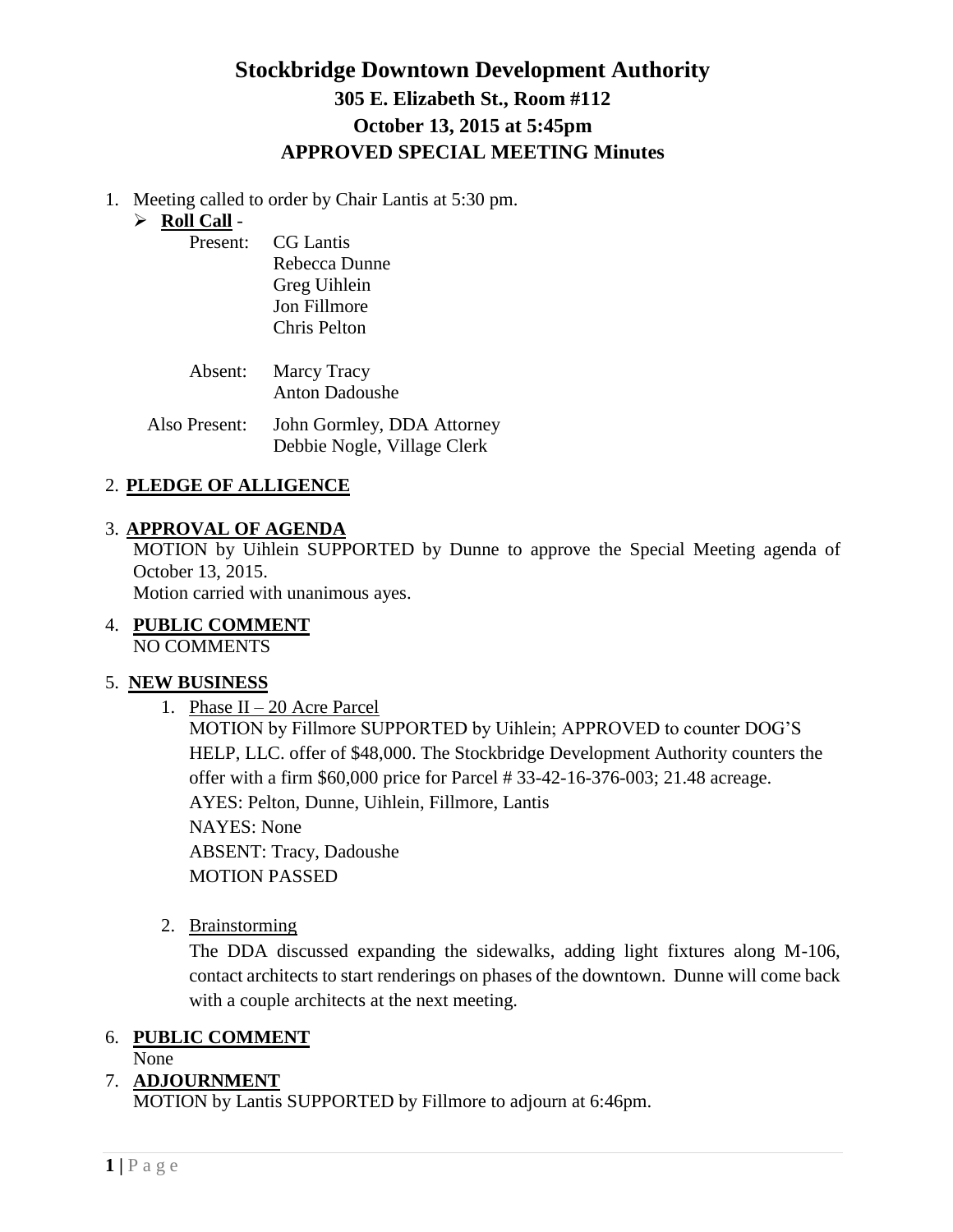## **Stockbridge Downtown Development Authority 305 E. Elizabeth St., Room #112 October 13, 2015 at 5:45pm APPROVED SPECIAL MEETING Minutes**

1. Meeting called to order by Chair Lantis at 5:30 pm.

#### **Roll Call** -

| Present: | CG Lantis           |
|----------|---------------------|
|          | Rebecca Dunne       |
|          | Greg Uihlein        |
|          | <b>Jon Fillmore</b> |
|          | Chris Pelton        |

| <b>Absent:</b> Marcy Tracy<br>Anton Dadoushe |
|----------------------------------------------|
|                                              |

Also Present: John Gormley, DDA Attorney Debbie Nogle, Village Clerk

#### 2. **PLEDGE OF ALLIGENCE**

#### 3. **APPROVAL OF AGENDA**

MOTION by Uihlein SUPPORTED by Dunne to approve the Special Meeting agenda of October 13, 2015.

Motion carried with unanimous ayes.

4. **PUBLIC COMMENT** NO COMMENTS

## 5. **NEW BUSINESS**

1. Phase II – 20 Acre Parcel

MOTION by Fillmore SUPPORTED by Uihlein; APPROVED to counter DOG'S HELP, LLC. offer of \$48,000. The Stockbridge Development Authority counters the offer with a firm \$60,000 price for Parcel # 33-42-16-376-003; 21.48 acreage. AYES: Pelton, Dunne, Uihlein, Fillmore, Lantis NAYES: None ABSENT: Tracy, Dadoushe MOTION PASSED

2. Brainstorming

The DDA discussed expanding the sidewalks, adding light fixtures along M-106, contact architects to start renderings on phases of the downtown. Dunne will come back with a couple architects at the next meeting.

## 6. **PUBLIC COMMENT**

None

## 7. **ADJOURNMENT**

MOTION by Lantis SUPPORTED by Fillmore to adjourn at 6:46pm.